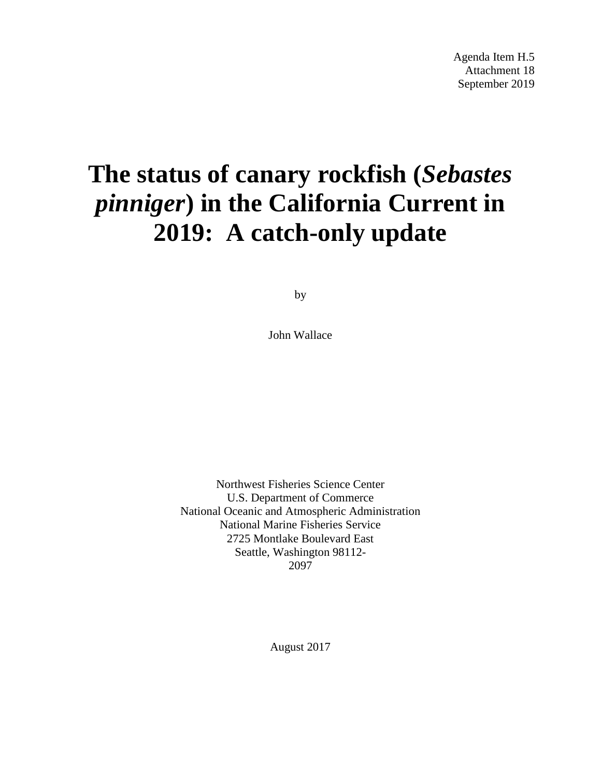# **The status of canary rockfish (***Sebastes pinniger***) in the California Current in 2019: A catch-only update**

by

John Wallace

Northwest Fisheries Science Center U.S. Department of Commerce National Oceanic and Atmospheric Administration National Marine Fisheries Service 2725 Montlake Boulevard East Seattle, Washington 98112- 2097

August 2017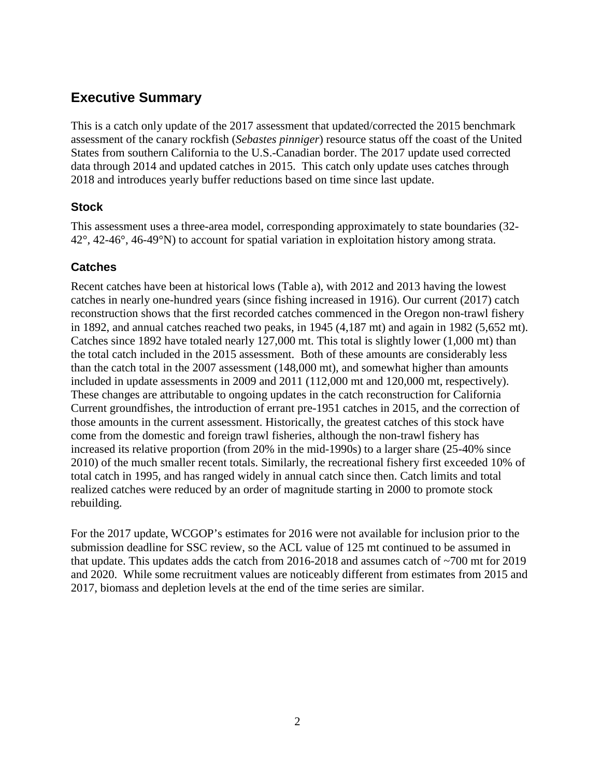## **Executive Summary**

This is a catch only update of the 2017 assessment that updated/corrected the 2015 benchmark assessment of the canary rockfish (*Sebastes pinniger*) resource status off the coast of the United States from southern California to the U.S.-Canadian border. The 2017 update used corrected data through 2014 and updated catches in 2015. This catch only update uses catches through 2018 and introduces yearly buffer reductions based on time since last update.

## **Stock**

This assessment uses a three-area model, corresponding approximately to state boundaries (32- 42°, 42-46°, 46-49°N) to account for spatial variation in exploitation history among strata.

## **Catches**

Recent catches have been at historical lows (Table a), with 2012 and 2013 having the lowest catches in nearly one-hundred years (since fishing increased in 1916). Our current (2017) catch reconstruction shows that the first recorded catches commenced in the Oregon non-trawl fishery in 1892, and annual catches reached two peaks, in 1945 (4,187 mt) and again in 1982 (5,652 mt). Catches since 1892 have totaled nearly 127,000 mt. This total is slightly lower (1,000 mt) than the total catch included in the 2015 assessment. Both of these amounts are considerably less than the catch total in the 2007 assessment (148,000 mt), and somewhat higher than amounts included in update assessments in 2009 and 2011 (112,000 mt and 120,000 mt, respectively). These changes are attributable to ongoing updates in the catch reconstruction for California Current groundfishes, the introduction of errant pre-1951 catches in 2015, and the correction of those amounts in the current assessment. Historically, the greatest catches of this stock have come from the domestic and foreign trawl fisheries, although the non-trawl fishery has increased its relative proportion (from 20% in the mid-1990s) to a larger share (25-40% since 2010) of the much smaller recent totals. Similarly, the recreational fishery first exceeded 10% of total catch in 1995, and has ranged widely in annual catch since then. Catch limits and total realized catches were reduced by an order of magnitude starting in 2000 to promote stock rebuilding.

For the 2017 update, WCGOP's estimates for 2016 were not available for inclusion prior to the submission deadline for SSC review, so the ACL value of 125 mt continued to be assumed in that update. This updates adds the catch from 2016-2018 and assumes catch of ~700 mt for 2019 and 2020. While some recruitment values are noticeably different from estimates from 2015 and 2017, biomass and depletion levels at the end of the time series are similar.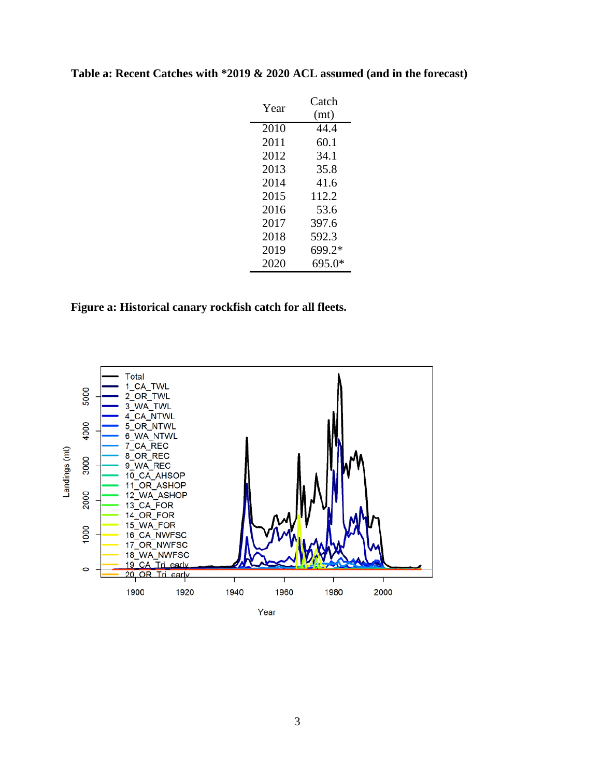| Year | Catch  |
|------|--------|
|      | (mt)   |
| 2010 | 44.4   |
| 2011 | 60.1   |
| 2012 | 34.1   |
| 2013 | 35.8   |
| 2014 | 41.6   |
| 2015 | 112.2  |
| 2016 | 53.6   |
| 2017 | 397.6  |
| 2018 | 592.3  |
| 2019 | 699.2* |
| 2020 | 695.0* |

## **Table a: Recent Catches with \*2019 & 2020 ACL assumed (and in the forecast)**

## **Figure a: Historical canary rockfish catch for all fleets.**



Year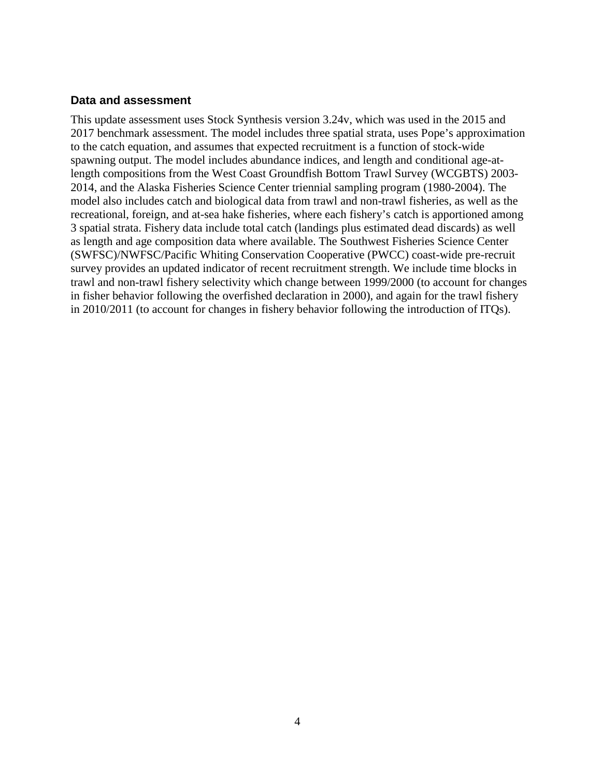#### **Data and assessment**

This update assessment uses Stock Synthesis version 3.24v, which was used in the 2015 and 2017 benchmark assessment. The model includes three spatial strata, uses Pope's approximation to the catch equation, and assumes that expected recruitment is a function of stock-wide spawning output. The model includes abundance indices, and length and conditional age-atlength compositions from the West Coast Groundfish Bottom Trawl Survey (WCGBTS) 2003- 2014, and the Alaska Fisheries Science Center triennial sampling program (1980-2004). The model also includes catch and biological data from trawl and non-trawl fisheries, as well as the recreational, foreign, and at-sea hake fisheries, where each fishery's catch is apportioned among 3 spatial strata. Fishery data include total catch (landings plus estimated dead discards) as well as length and age composition data where available. The Southwest Fisheries Science Center (SWFSC)/NWFSC/Pacific Whiting Conservation Cooperative (PWCC) coast-wide pre-recruit survey provides an updated indicator of recent recruitment strength. We include time blocks in trawl and non-trawl fishery selectivity which change between 1999/2000 (to account for changes in fisher behavior following the overfished declaration in 2000), and again for the trawl fishery in 2010/2011 (to account for changes in fishery behavior following the introduction of ITQs).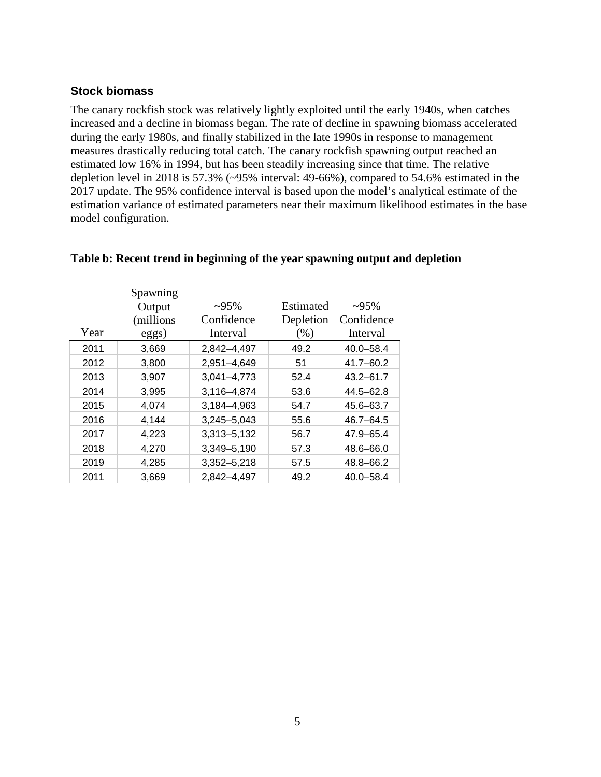#### **Stock biomass**

The canary rockfish stock was relatively lightly exploited until the early 1940s, when catches increased and a decline in biomass began. The rate of decline in spawning biomass accelerated during the early 1980s, and finally stabilized in the late 1990s in response to management measures drastically reducing total catch. The canary rockfish spawning output reached an estimated low 16% in 1994, but has been steadily increasing since that time. The relative depletion level in 2018 is 57.3% (~95% interval: 49-66%), compared to 54.6% estimated in the 2017 update. The 95% confidence interval is based upon the model's analytical estimate of the estimation variance of estimated parameters near their maximum likelihood estimates in the base model configuration.

|      | Spawning<br>Output | $~295\%$        | Estimated | 295%          |
|------|--------------------|-----------------|-----------|---------------|
|      | (millions)         | Confidence      | Depletion | Confidence    |
| Year | eggs)              | Interval        | $(\%)$    | Interval      |
| 2011 | 3,669              | 2,842-4,497     | 49.2      | $40.0 - 58.4$ |
| 2012 | 3,800              | 2,951-4,649     | 51        | $41.7 - 60.2$ |
| 2013 | 3,907              | $3,041 - 4,773$ | 52.4      | $43.2 - 61.7$ |
| 2014 | 3,995              | 3,116-4,874     | 53.6      | $44.5 - 62.8$ |
| 2015 | 4.074              | 3.184-4.963     | 54.7      | $45.6 - 63.7$ |
| 2016 | 4.144              | 3,245-5,043     | 55.6      | $46.7 - 64.5$ |
| 2017 | 4,223              | 3,313-5,132     | 56.7      | 47.9-65.4     |
| 2018 | 4,270              | 3,349-5,190     | 57.3      | 48.6-66.0     |
| 2019 | 4,285              | $3,352 - 5,218$ | 57.5      | 48.8-66.2     |
| 2011 | 3,669              | 2,842-4,497     | 49.2      | $40.0 - 58.4$ |

#### **Table b: Recent trend in beginning of the year spawning output and depletion**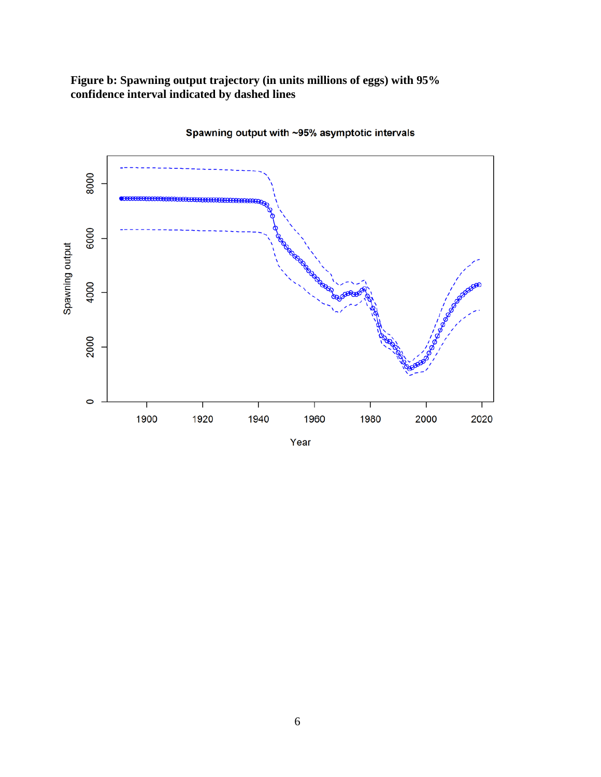#### **Figure b: Spawning output trajectory (in units millions of eggs) with 95% confidence interval indicated by dashed lines**



Spawning output with ~95% asymptotic intervals

Year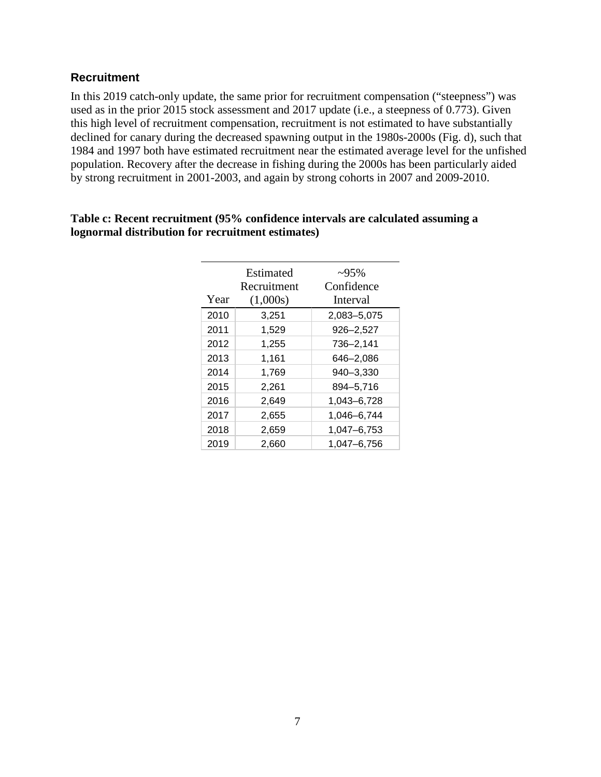## **Recruitment**

In this 2019 catch-only update, the same prior for recruitment compensation ("steepness") was used as in the prior 2015 stock assessment and 2017 update (i.e., a steepness of 0.773). Given this high level of recruitment compensation, recruitment is not estimated to have substantially declined for canary during the decreased spawning output in the 1980s-2000s (Fig. d), such that 1984 and 1997 both have estimated recruitment near the estimated average level for the unfished population. Recovery after the decrease in fishing during the 2000s has been particularly aided by strong recruitment in 2001-2003, and again by strong cohorts in 2007 and 2009-2010.

|      | Estimated   | $-95%$      |
|------|-------------|-------------|
|      | Recruitment | Confidence  |
| Year | (1,000s)    | Interval    |
| 2010 | 3,251       | 2,083-5,075 |
| 2011 | 1,529       | 926-2,527   |
| 2012 | 1,255       | 736-2,141   |
| 2013 | 1,161       | 646–2,086   |
| 2014 | 1,769       | 940-3,330   |
| 2015 | 2,261       | 894-5,716   |
| 2016 | 2.649       | 1,043-6,728 |
| 2017 | 2,655       | 1,046-6,744 |
| 2018 | 2,659       | 1,047-6,753 |
| 2019 | 2,660       | 1,047-6,756 |

#### **Table c: Recent recruitment (95% confidence intervals are calculated assuming a lognormal distribution for recruitment estimates)**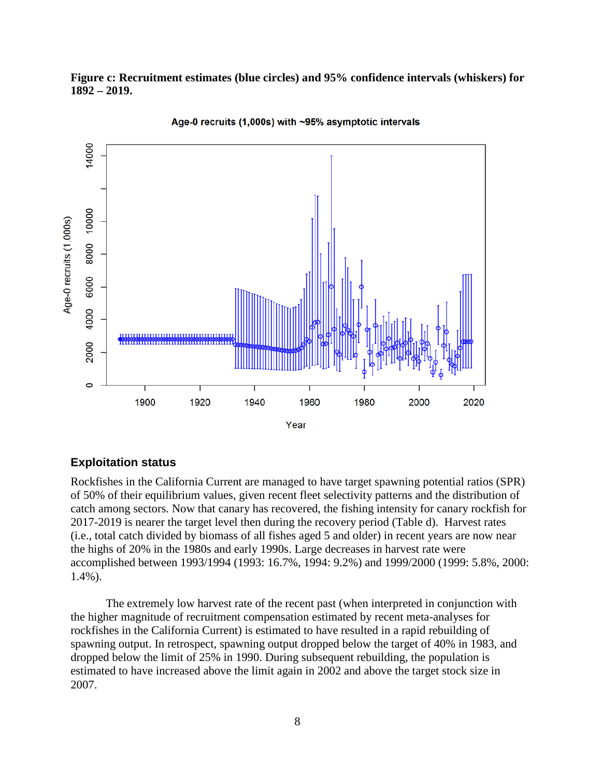#### **Figure c: Recruitment estimates (blue circles) and 95% confidence intervals (whiskers) for 1892 – 2019.**





#### **Exploitation status**

Rockfishes in the California Current are managed to have target spawning potential ratios (SPR) of 50% of their equilibrium values, given recent fleet selectivity patterns and the distribution of catch among sectors. Now that canary has recovered, the fishing intensity for canary rockfish for 2017-2019 is nearer the target level then during the recovery period (Table d). Harvest rates (i.e., total catch divided by biomass of all fishes aged 5 and older) in recent years are now near the highs of 20% in the 1980s and early 1990s. Large decreases in harvest rate were accomplished between 1993/1994 (1993: 16.7%, 1994: 9.2%) and 1999/2000 (1999: 5.8%, 2000: 1.4%).

The extremely low harvest rate of the recent past (when interpreted in conjunction with the higher magnitude of recruitment compensation estimated by recent meta-analyses for rockfishes in the California Current) is estimated to have resulted in a rapid rebuilding of spawning output. In retrospect, spawning output dropped below the target of 40% in 1983, and dropped below the limit of 25% in 1990. During subsequent rebuilding, the population is estimated to have increased above the limit again in 2002 and above the target stock size in 2007.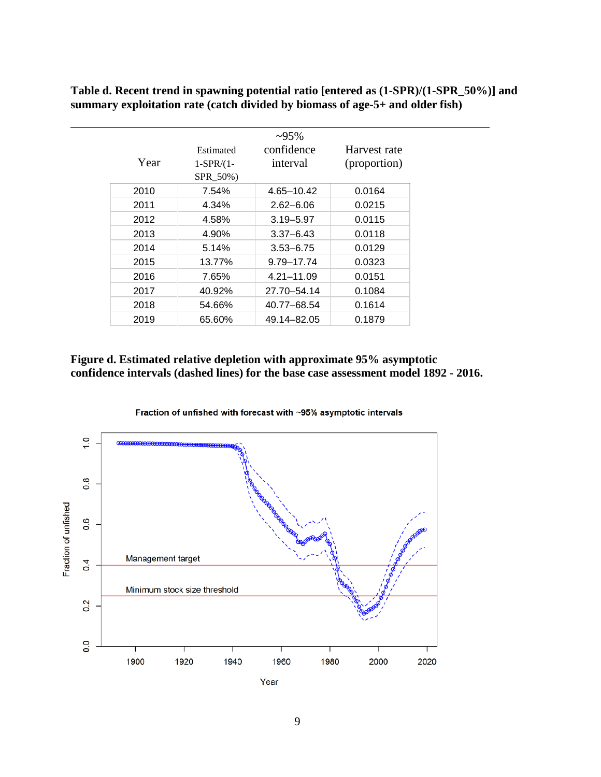**Table d. Recent trend in spawning potential ratio [entered as (1-SPR)/(1-SPR\_50%)] and summary exploitation rate (catch divided by biomass of age-5+ and older fish)**

| Year | Estimated<br>$1-SPR/(1-$ | $~295\%$<br>confidence<br>interval | Harvest rate<br>(proportion) |
|------|--------------------------|------------------------------------|------------------------------|
|      | SPR_50%)                 |                                    |                              |
| 2010 | 7.54%                    | 4.65-10.42                         | 0.0164                       |
| 2011 | 4.34%                    | $2.62 - 6.06$                      | 0.0215                       |
| 2012 | 4.58%                    | $3.19 - 5.97$                      | 0.0115                       |
| 2013 | 4.90%                    | $3.37 - 6.43$                      | 0.0118                       |
| 2014 | 5.14%                    | $3.53 - 6.75$                      | 0.0129                       |
| 2015 | 13.77%                   | 9.79-17.74                         | 0.0323                       |
| 2016 | 7.65%                    | 4.21-11.09                         | 0.0151                       |
| 2017 | 40.92%                   | 27.70-54.14                        | 0.1084                       |
| 2018 | 54.66%                   | 40.77-68.54                        | 0.1614                       |
| 2019 | 65.60%                   | 49.14–82.05                        | 0.1879                       |

#### **Figure d. Estimated relative depletion with approximate 95% asymptotic confidence intervals (dashed lines) for the base case assessment model 1892 - 2016.**



Fraction of unfished with forecast with ~95% asymptotic intervals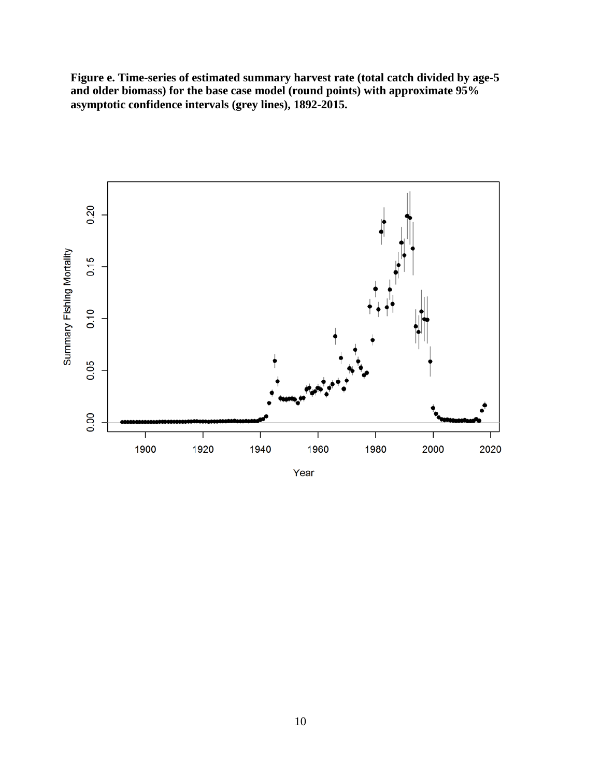**Figure e. Time-series of estimated summary harvest rate (total catch divided by age-5 and older biomass) for the base case model (round points) with approximate 95% asymptotic confidence intervals (grey lines), 1892-2015.**



Year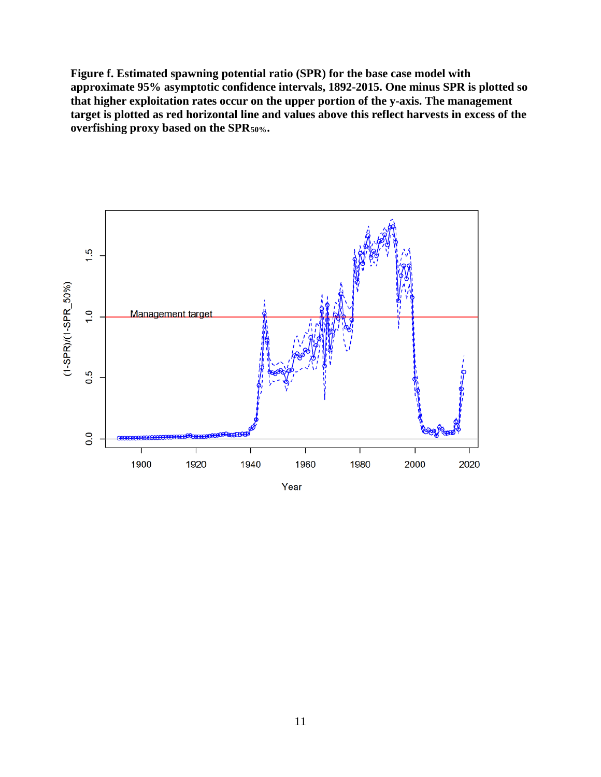**Figure f. Estimated spawning potential ratio (SPR) for the base case model with approximate 95% asymptotic confidence intervals, 1892-2015. One minus SPR is plotted so that higher exploitation rates occur on the upper portion of the y-axis. The management target is plotted as red horizontal line and values above this reflect harvests in excess of the overfishing proxy based on the SPR50%.**



Year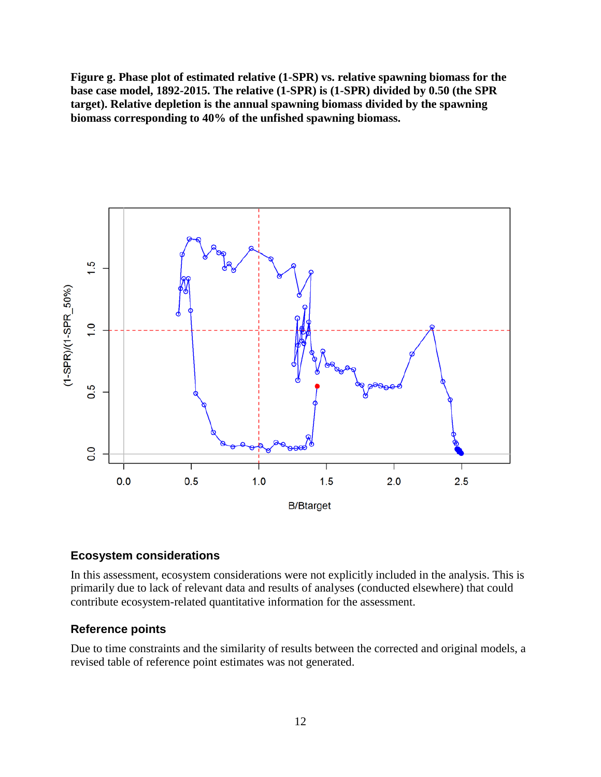**Figure g. Phase plot of estimated relative (1-SPR) vs. relative spawning biomass for the base case model, 1892-2015. The relative (1-SPR) is (1-SPR) divided by 0.50 (the SPR target). Relative depletion is the annual spawning biomass divided by the spawning biomass corresponding to 40% of the unfished spawning biomass.**



#### **Ecosystem considerations**

In this assessment, ecosystem considerations were not explicitly included in the analysis. This is primarily due to lack of relevant data and results of analyses (conducted elsewhere) that could contribute ecosystem-related quantitative information for the assessment.

#### **Reference points**

Due to time constraints and the similarity of results between the corrected and original models, a revised table of reference point estimates was not generated.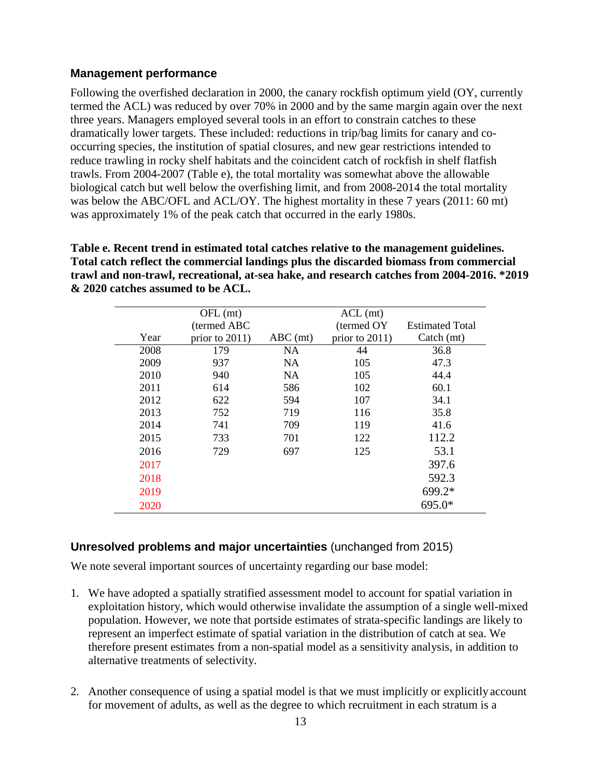## **Management performance**

Following the overfished declaration in 2000, the canary rockfish optimum yield (OY, currently termed the ACL) was reduced by over 70% in 2000 and by the same margin again over the next three years. Managers employed several tools in an effort to constrain catches to these dramatically lower targets. These included: reductions in trip/bag limits for canary and cooccurring species, the institution of spatial closures, and new gear restrictions intended to reduce trawling in rocky shelf habitats and the coincident catch of rockfish in shelf flatfish trawls. From 2004-2007 (Table e), the total mortality was somewhat above the allowable biological catch but well below the overfishing limit, and from 2008-2014 the total mortality was below the ABC/OFL and ACL/OY. The highest mortality in these 7 years (2011: 60 mt) was approximately 1% of the peak catch that occurred in the early 1980s.

**Table e. Recent trend in estimated total catches relative to the management guidelines. Total catch reflect the commercial landings plus the discarded biomass from commercial trawl and non-trawl, recreational, at-sea hake, and research catches from 2004-2016. \*2019 & 2020 catches assumed to be ACL.**

|      | $OFL$ (mt)        |            | $ACL$ (mt)     |                        |
|------|-------------------|------------|----------------|------------------------|
|      | (termed ABC       |            | (termed OY)    | <b>Estimated Total</b> |
| Year | prior to $2011$ ) | $ABC$ (mt) | prior to 2011) | Catch (mt)             |
| 2008 | 179               | <b>NA</b>  | 44             | 36.8                   |
| 2009 | 937               | <b>NA</b>  | 105            | 47.3                   |
| 2010 | 940               | <b>NA</b>  | 105            | 44.4                   |
| 2011 | 614               | 586        | 102            | 60.1                   |
| 2012 | 622               | 594        | 107            | 34.1                   |
| 2013 | 752               | 719        | 116            | 35.8                   |
| 2014 | 741               | 709        | 119            | 41.6                   |
| 2015 | 733               | 701        | 122            | 112.2                  |
| 2016 | 729               | 697        | 125            | 53.1                   |
| 2017 |                   |            |                | 397.6                  |
| 2018 |                   |            |                | 592.3                  |
| 2019 |                   |            |                | $699.2*$               |
| 2020 |                   |            |                | 695.0*                 |

## **Unresolved problems and major uncertainties** (unchanged from 2015)

We note several important sources of uncertainty regarding our base model:

- 1. We have adopted a spatially stratified assessment model to account for spatial variation in exploitation history, which would otherwise invalidate the assumption of a single well-mixed population. However, we note that portside estimates of strata-specific landings are likely to represent an imperfect estimate of spatial variation in the distribution of catch at sea. We therefore present estimates from a non-spatial model as a sensitivity analysis, in addition to alternative treatments of selectivity.
- 2. Another consequence of using a spatial model is that we must implicitly or explicitly account for movement of adults, as well as the degree to which recruitment in each stratum is a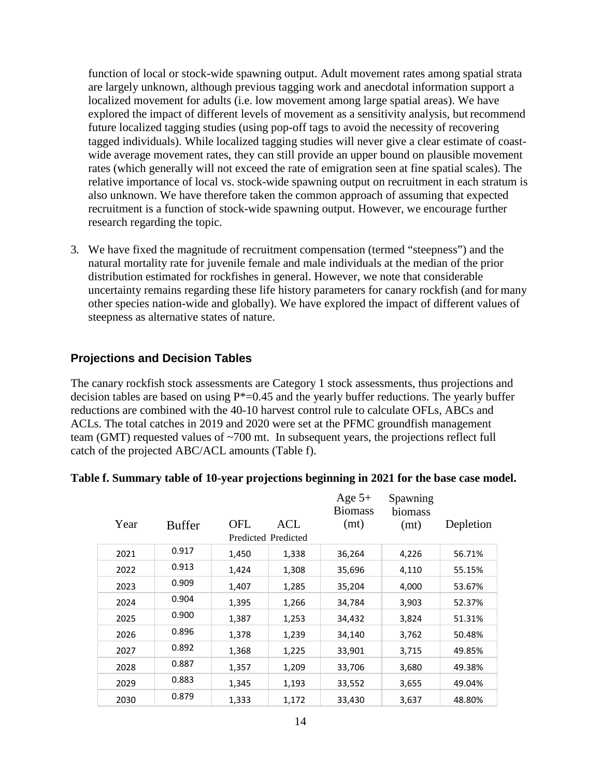function of local or stock-wide spawning output. Adult movement rates among spatial strata are largely unknown, although previous tagging work and anecdotal information support a localized movement for adults (i.e. low movement among large spatial areas). We have explored the impact of different levels of movement as a sensitivity analysis, but recommend future localized tagging studies (using pop-off tags to avoid the necessity of recovering tagged individuals). While localized tagging studies will never give a clear estimate of coastwide average movement rates, they can still provide an upper bound on plausible movement rates (which generally will not exceed the rate of emigration seen at fine spatial scales). The relative importance of local vs. stock-wide spawning output on recruitment in each stratum is also unknown. We have therefore taken the common approach of assuming that expected recruitment is a function of stock-wide spawning output. However, we encourage further research regarding the topic.

3. We have fixed the magnitude of recruitment compensation (termed "steepness") and the natural mortality rate for juvenile female and male individuals at the median of the prior distribution estimated for rockfishes in general. However, we note that considerable uncertainty remains regarding these life history parameters for canary rockfish (and for many other species nation-wide and globally). We have explored the impact of different values of steepness as alternative states of nature.

## **Projections and Decision Tables**

The canary rockfish stock assessments are Category 1 stock assessments, thus projections and decision tables are based on using  $P^*=0.45$  and the yearly buffer reductions. The yearly buffer reductions are combined with the 40-10 harvest control rule to calculate OFLs, ABCs and ACLs. The total catches in 2019 and 2020 were set at the PFMC groundfish management team (GMT) requested values of ~700 mt. In subsequent years, the projections reflect full catch of the projected ABC/ACL amounts (Table f).

| Year | <b>Buffer</b> | <b>OFL</b> | ACL                 | Age $5+$<br><b>Biomass</b><br>(mt) | Spawning<br>biomass<br>(mt) | Depletion |
|------|---------------|------------|---------------------|------------------------------------|-----------------------------|-----------|
|      |               |            | Predicted Predicted |                                    |                             |           |
| 2021 | 0.917         | 1,450      | 1,338               | 36,264                             | 4,226                       | 56.71%    |
| 2022 | 0.913         | 1,424      | 1,308               | 35,696                             | 4,110                       | 55.15%    |
| 2023 | 0.909         | 1,407      | 1,285               | 35,204                             | 4,000                       | 53.67%    |
| 2024 | 0.904         | 1,395      | 1,266               | 34,784                             | 3,903                       | 52.37%    |
| 2025 | 0.900         | 1,387      | 1,253               | 34,432                             | 3,824                       | 51.31%    |
| 2026 | 0.896         | 1,378      | 1,239               | 34,140                             | 3,762                       | 50.48%    |
| 2027 | 0.892         | 1,368      | 1,225               | 33,901                             | 3,715                       | 49.85%    |
| 2028 | 0.887         | 1,357      | 1,209               | 33,706                             | 3,680                       | 49.38%    |
| 2029 | 0.883         | 1,345      | 1,193               | 33,552                             | 3,655                       | 49.04%    |
| 2030 | 0.879         | 1,333      | 1,172               | 33,430                             | 3,637                       | 48.80%    |

#### **Table f. Summary table of 10-year projections beginning in 2021 for the base case model.**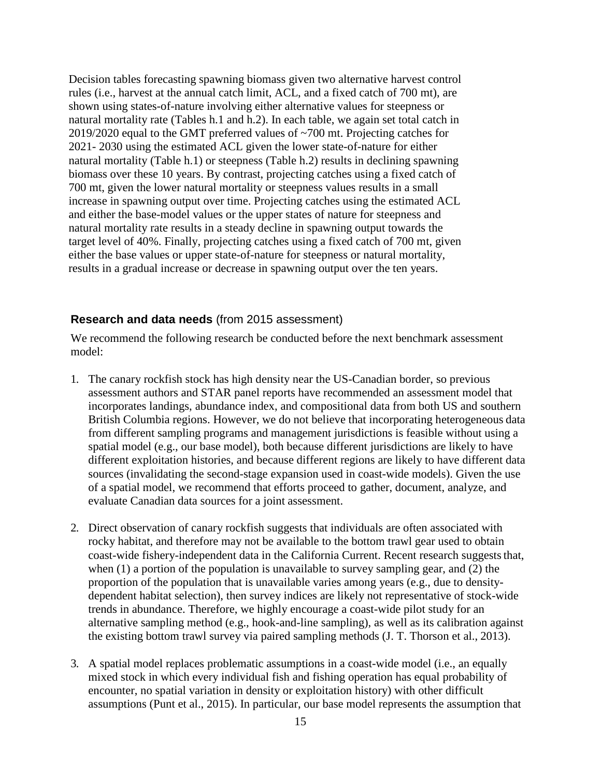Decision tables forecasting spawning biomass given two alternative harvest control rules (i.e., harvest at the annual catch limit, ACL, and a fixed catch of 700 mt), are shown using states-of-nature involving either alternative values for steepness or natural mortality rate (Tables h.1 and h.2). In each table, we again set total catch in 2019/2020 equal to the GMT preferred values of ~700 mt. Projecting catches for 2021- 2030 using the estimated ACL given the lower state-of-nature for either natural mortality (Table h.1) or steepness (Table h.2) results in declining spawning biomass over these 10 years. By contrast, projecting catches using a fixed catch of 700 mt, given the lower natural mortality or steepness values results in a small increase in spawning output over time. Projecting catches using the estimated ACL and either the base-model values or the upper states of nature for steepness and natural mortality rate results in a steady decline in spawning output towards the target level of 40%. Finally, projecting catches using a fixed catch of 700 mt, given either the base values or upper state-of-nature for steepness or natural mortality, results in a gradual increase or decrease in spawning output over the ten years.

#### **Research and data needs** (from 2015 assessment)

We recommend the following research be conducted before the next benchmark assessment model:

- 1. The canary rockfish stock has high density near the US-Canadian border, so previous assessment authors and STAR panel reports have recommended an assessment model that incorporates landings, abundance index, and compositional data from both US and southern British Columbia regions. However, we do not believe that incorporating heterogeneous data from different sampling programs and management jurisdictions is feasible without using a spatial model (e.g., our base model), both because different jurisdictions are likely to have different exploitation histories, and because different regions are likely to have different data sources (invalidating the second-stage expansion used in coast-wide models). Given the use of a spatial model, we recommend that efforts proceed to gather, document, analyze, and evaluate Canadian data sources for a joint assessment.
- 2. Direct observation of canary rockfish suggests that individuals are often associated with rocky habitat, and therefore may not be available to the bottom trawl gear used to obtain coast-wide fishery-independent data in the California Current. Recent research suggests that, when (1) a portion of the population is unavailable to survey sampling gear, and (2) the proportion of the population that is unavailable varies among years (e.g., due to densitydependent habitat selection), then survey indices are likely not representative of stock-wide trends in abundance. Therefore, we highly encourage a coast-wide pilot study for an alternative sampling method (e.g., hook-and-line sampling), as well as its calibration against the existing bottom trawl survey via paired sampling methods (J. T. Thorson et al., 2013).
- 3. A spatial model replaces problematic assumptions in a coast-wide model (i.e., an equally mixed stock in which every individual fish and fishing operation has equal probability of encounter, no spatial variation in density or exploitation history) with other difficult assumptions (Punt et al., 2015). In particular, our base model represents the assumption that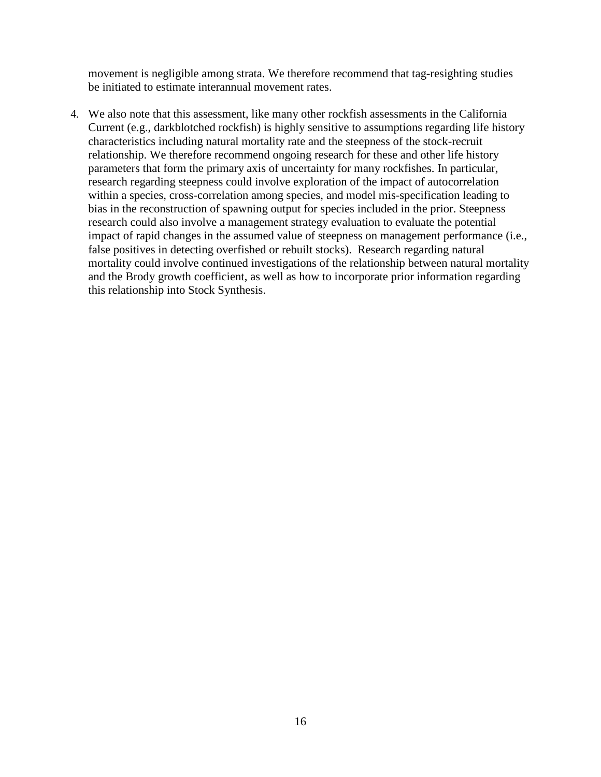movement is negligible among strata. We therefore recommend that tag-resighting studies be initiated to estimate interannual movement rates.

4. We also note that this assessment, like many other rockfish assessments in the California Current (e.g., darkblotched rockfish) is highly sensitive to assumptions regarding life history characteristics including natural mortality rate and the steepness of the stock-recruit relationship. We therefore recommend ongoing research for these and other life history parameters that form the primary axis of uncertainty for many rockfishes. In particular, research regarding steepness could involve exploration of the impact of autocorrelation within a species, cross-correlation among species, and model mis-specification leading to bias in the reconstruction of spawning output for species included in the prior. Steepness research could also involve a management strategy evaluation to evaluate the potential impact of rapid changes in the assumed value of steepness on management performance (i.e., false positives in detecting overfished or rebuilt stocks). Research regarding natural mortality could involve continued investigations of the relationship between natural mortality and the Brody growth coefficient, as well as how to incorporate prior information regarding this relationship into Stock Synthesis.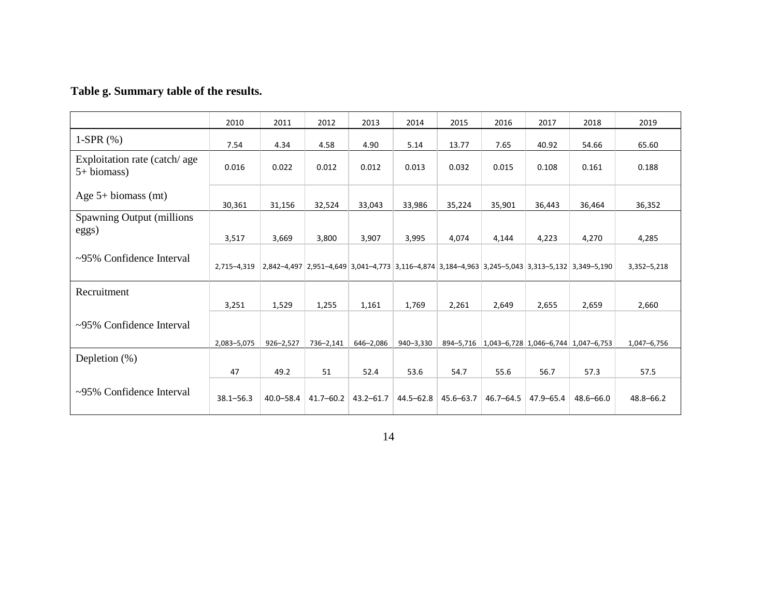# **Table g. Summary table of the results.**

|                                              | 2010          | 2011          | 2012          | 2013          | 2014      | 2015          | 2016      | 2017                                    | 2018                                                                                            | 2019          |
|----------------------------------------------|---------------|---------------|---------------|---------------|-----------|---------------|-----------|-----------------------------------------|-------------------------------------------------------------------------------------------------|---------------|
| 1-SPR $(\%)$                                 | 7.54          | 4.34          | 4.58          | 4.90          | 5.14      | 13.77         | 7.65      | 40.92                                   | 54.66                                                                                           | 65.60         |
| Exploitation rate (catch/age)<br>5+ biomass) | 0.016         | 0.022         | 0.012         | 0.012         | 0.013     | 0.032         | 0.015     | 0.108                                   | 0.161                                                                                           | 0.188         |
| Age $5+$ biomass (mt)                        | 30,361        | 31,156        | 32,524        | 33,043        | 33,986    | 35,224        | 35,901    | 36,443                                  | 36,464                                                                                          | 36,352        |
| <b>Spawning Output (millions)</b><br>eggs)   | 3,517         | 3,669         | 3,800         | 3,907         | 3,995     | 4.074         | 4,144     | 4,223                                   | 4,270                                                                                           | 4,285         |
| ~95% Confidence Interval                     | 2,715-4,319   |               |               |               |           |               |           |                                         | 2,842-4,497 2,951-4,649 3,041-4,773 3,116-4,874 3,184-4,963 3,245-5,043 3,313-5,132 3,349-5,190 | 3,352-5,218   |
| Recruitment                                  | 3,251         | 1,529         | 1,255         | 1,161         | 1,769     | 2,261         | 2,649     | 2,655                                   | 2,659                                                                                           | 2,660         |
| $\sim$ 95% Confidence Interval               | 2,083-5,075   | $926 - 2,527$ | 736-2,141     | 646-2,086     | 940-3,330 | 894-5,716     |           | $1,043 - 6,728$ 1,046-6,744 1,047-6,753 |                                                                                                 | 1,047-6,756   |
| Depletion $(\%)$                             |               |               |               |               |           |               |           |                                         |                                                                                                 |               |
|                                              | 47            | 49.2          | 51            | 52.4          | 53.6      | 54.7          | 55.6      | 56.7                                    | 57.3                                                                                            | 57.5          |
| ~95% Confidence Interval                     | $38.1 - 56.3$ | $40.0 - 58.4$ | $41.7 - 60.2$ | $43.2 - 61.7$ | 44.5–62.8 | $45.6 - 63.7$ | 46.7–64.5 | $47.9 - 65.4$                           | 48.6-66.0                                                                                       | $48.8 - 66.2$ |

14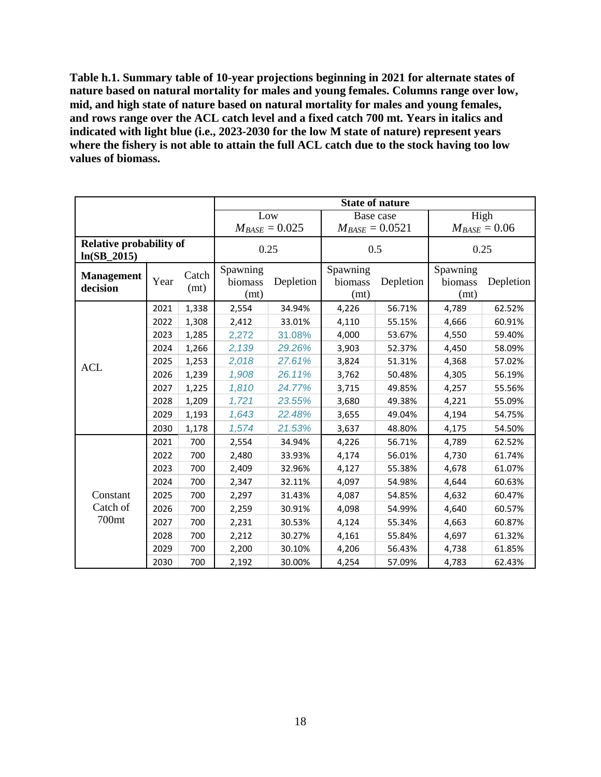**Table h.1. Summary table of 10-year projections beginning in 2021 for alternate states of nature based on natural mortality for males and young females. Columns range over low, mid, and high state of nature based on natural mortality for males and young females, and rows range over the ACL catch level and a fixed catch 700 mt. Years in italics and indicated with light blue (i.e., 2023-2030 for the low M state of nature) represent years where the fishery is not able to attain the full ACL catch due to the stock having too low values of biomass.**

|                                                 |                       |       |                                          |        |                             | <b>State of nature</b> |                             |           |  |
|-------------------------------------------------|-----------------------|-------|------------------------------------------|--------|-----------------------------|------------------------|-----------------------------|-----------|--|
|                                                 |                       |       |                                          | Low    |                             | Base case              |                             | High      |  |
|                                                 |                       |       | $M_{BASE} = 0.025$                       |        | $M_{BASE} = 0.0521$         |                        | $M_{BASE} = 0.06$           |           |  |
| <b>Relative probability of</b><br>$ln(SB_2015)$ |                       | 0.25  |                                          | 0.5    |                             |                        | 0.25                        |           |  |
| <b>Management</b><br>decision                   | Catch<br>Year<br>(mt) |       | Spawning<br>Depletion<br>biomass<br>(mt) |        | Spawning<br>biomass<br>(mt) | Depletion              | Spawning<br>biomass<br>(mt) | Depletion |  |
|                                                 | 2021                  | 1,338 | 2,554                                    | 34.94% | 4,226                       | 56.71%                 | 4,789                       | 62.52%    |  |
|                                                 | 2022                  | 1,308 | 2,412                                    | 33.01% | 4,110                       | 55.15%                 | 4,666                       | 60.91%    |  |
|                                                 | 2023                  | 1,285 | 2,272                                    | 31.08% | 4,000                       | 53.67%                 | 4,550                       | 59.40%    |  |
|                                                 | 2024                  | 1,266 | 2,139                                    | 29.26% | 3,903                       | 52.37%                 | 4,450                       | 58.09%    |  |
| <b>ACL</b>                                      | 2025                  | 1,253 | 2,018                                    | 27.61% | 3,824                       | 51.31%                 | 4,368                       | 57.02%    |  |
|                                                 | 2026                  | 1,239 | 1,908                                    | 26.11% | 3,762                       | 50.48%                 | 4,305                       | 56.19%    |  |
|                                                 | 2027                  | 1,225 | 1,810                                    | 24.77% | 3,715                       | 49.85%                 | 4,257                       | 55.56%    |  |
|                                                 | 2028                  | 1,209 | 1,721                                    | 23.55% | 3,680                       | 49.38%                 | 4,221                       | 55.09%    |  |
|                                                 | 2029                  | 1,193 | 1,643                                    | 22.48% | 3,655                       | 49.04%                 | 4,194                       | 54.75%    |  |
|                                                 | 2030                  | 1,178 | 1,574                                    | 21.53% | 3,637                       | 48.80%                 | 4,175                       | 54.50%    |  |
|                                                 | 2021                  | 700   | 2,554                                    | 34.94% | 4,226                       | 56.71%                 | 4,789                       | 62.52%    |  |
|                                                 | 2022                  | 700   | 2,480                                    | 33.93% | 4,174                       | 56.01%                 | 4,730                       | 61.74%    |  |
|                                                 | 2023                  | 700   | 2,409                                    | 32.96% | 4,127                       | 55.38%                 | 4,678                       | 61.07%    |  |
|                                                 | 2024                  | 700   | 2,347                                    | 32.11% | 4,097                       | 54.98%                 | 4,644                       | 60.63%    |  |
| Constant                                        | 2025                  | 700   | 2,297                                    | 31.43% | 4,087                       | 54.85%                 | 4,632                       | 60.47%    |  |
| Catch of                                        | 2026                  | 700   | 2,259                                    | 30.91% | 4,098                       | 54.99%                 | 4,640                       | 60.57%    |  |
| 700mt                                           | 2027                  | 700   | 2,231                                    | 30.53% | 4,124                       | 55.34%                 | 4,663                       | 60.87%    |  |
|                                                 | 2028                  | 700   | 2,212                                    | 30.27% | 4,161                       | 55.84%                 | 4,697                       | 61.32%    |  |
|                                                 | 2029                  | 700   | 2,200                                    | 30.10% | 4,206                       | 56.43%                 | 4,738                       | 61.85%    |  |
|                                                 | 2030                  | 700   | 2,192                                    | 30.00% | 4,254                       | 57.09%                 | 4,783                       | 62.43%    |  |